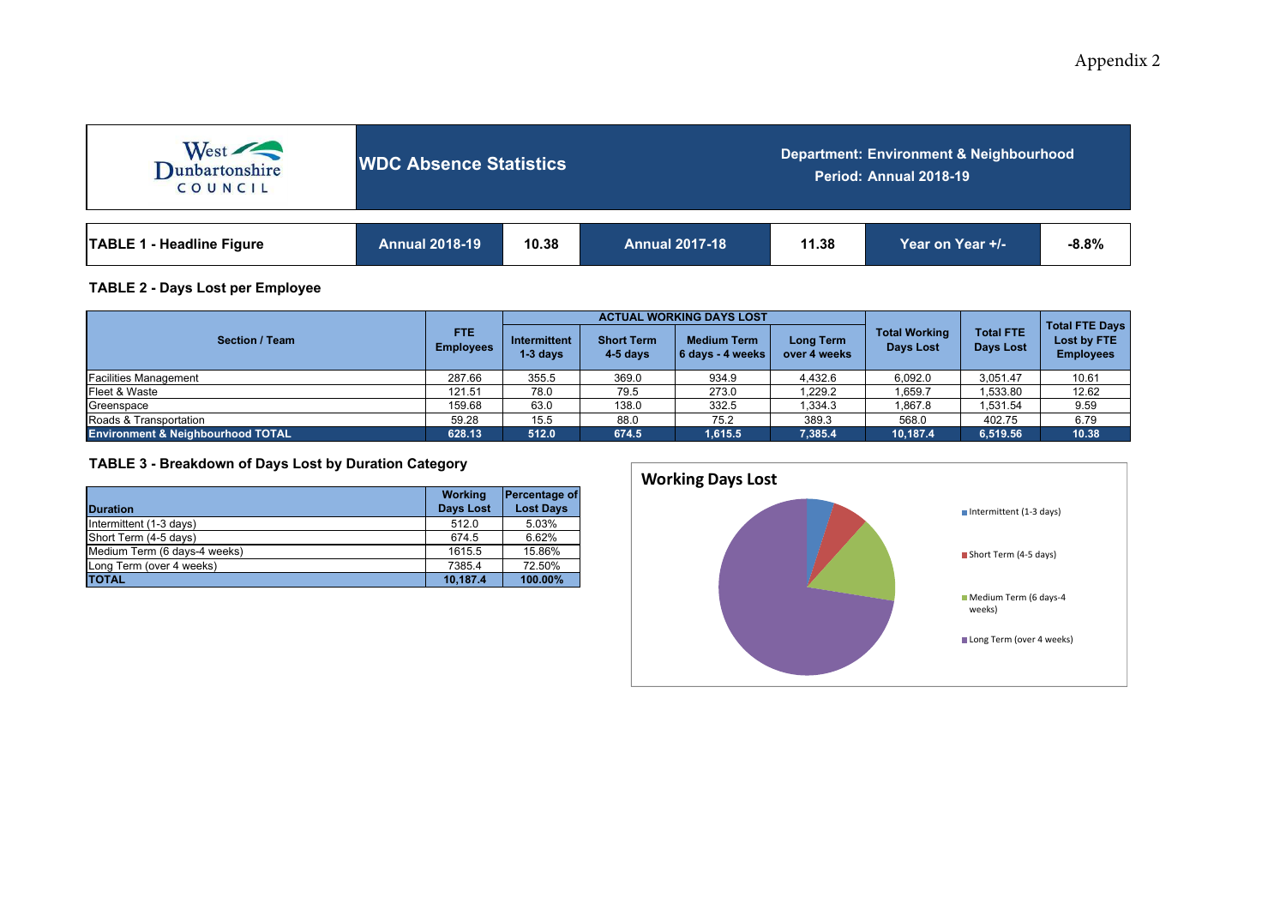# Appendix 2

| West<br>COUNCIL                  | <b>WDC Absence Statistics</b> |       |                       | Department: Environment & Neighbourhood<br>Period: Annual 2018-19 |                  |         |  |  |  |
|----------------------------------|-------------------------------|-------|-----------------------|-------------------------------------------------------------------|------------------|---------|--|--|--|
| <b>TABLE 1 - Headline Figure</b> | <b>Annual 2018-19</b>         | 10.38 | <b>Annual 2017-18</b> | 11.38                                                             | Year on Year +/- | $-8.8%$ |  |  |  |

## **TABLE 2 - Days Lost per Employee**

|                                              |                                |                                   |                                 | <b>ACTUAL WORKING DAYS LOST</b>        |                                  |                                          |                                      |                                                          |  |
|----------------------------------------------|--------------------------------|-----------------------------------|---------------------------------|----------------------------------------|----------------------------------|------------------------------------------|--------------------------------------|----------------------------------------------------------|--|
| <b>Section / Team</b>                        | <b>FTE</b><br><b>Employees</b> | <b>Intermittent</b><br>$1-3$ days | <b>Short Term</b><br>$4-5$ days | <b>Medium Term</b><br>6 days - 4 weeks | <b>Long Term</b><br>over 4 weeks | <b>Total Working</b><br><b>Days Lost</b> | <b>Total FTE</b><br><b>Days Lost</b> | <b>Total FTE Days</b><br>Lost by FTE<br><b>Employees</b> |  |
| <b>Facilities Management</b>                 | 287.66                         | 355.5                             | 369.0                           | 934.9                                  | 4,432.6                          | 6,092.0                                  | 3,051.47                             | 10.61                                                    |  |
| Fleet & Waste                                | 121.51                         | 78.0                              | 79.5                            | 273.0                                  | .229.2                           | 1,659.7                                  | 1,533.80                             | 12.62                                                    |  |
| Greenspace                                   | 159.68                         | 63.0                              | 138.0                           | 332.5                                  | 1,334.3                          | 1,867.8                                  | 1,531.54                             | 9.59                                                     |  |
| Roads & Transportation                       | 59.28                          | 15.5                              | 88.0                            | 75.2                                   | 389.3                            | 568.0                                    | 402.75                               | 6.79                                                     |  |
| <b>Environment &amp; Neighbourhood TOTAL</b> | 628.13                         | 512.0                             | 674.5                           | 1,615.5                                | 7,385.4                          | 10,187.4                                 | 6,519.56                             | 10.38                                                    |  |

## **TABLE 3 - Breakdown of Days Lost by Duration Category**

| <b>Duration</b>              | <b>Working</b><br><b>Days Lost</b> | Percentage of<br><b>Lost Days</b> |
|------------------------------|------------------------------------|-----------------------------------|
| Intermittent (1-3 days)      | 512.0                              | 5.03%                             |
| Short Term (4-5 days)        | 674.5                              | 6.62%                             |
| Medium Term (6 days-4 weeks) | 1615.5                             | 15.86%                            |
| Long Term (over 4 weeks)     | 7385.4                             | 72.50%                            |
| <b>TOTAL</b>                 | 10.187.4                           | 100.00%                           |